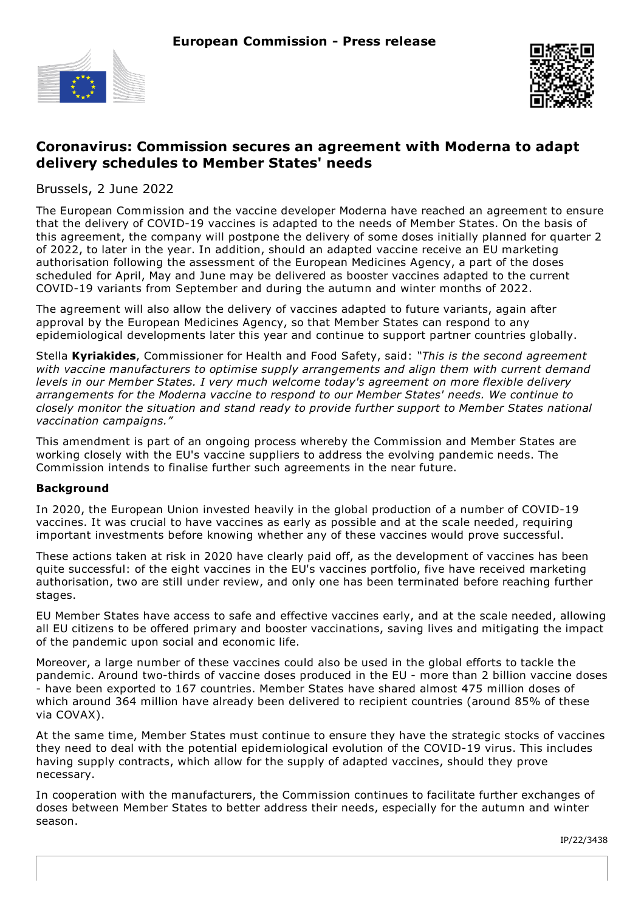



## **Coronavirus: Commission secures an agreement with Moderna to adapt delivery schedules to Member States' needs**

Brussels, 2 June 2022

The European Commission and the vaccine developer Moderna have reached an agreement to ensure that the delivery of COVID-19 vaccines is adapted to the needs of Member States. On the basis of this agreement, the company will postpone the delivery of some doses initially planned for quarter 2 of 2022, to later in the year. In addition, should an adapted vaccine receive an EU marketing authorisation following the assessment of the European Medicines Agency, a part of the doses scheduled for April, May and June may be delivered as booster vaccines adapted to the current COVID-19 variants from September and during the autumn and winter months of 2022.

The agreement will also allow the delivery of vaccines adapted to future variants, again after approval by the European Medicines Agency, so that Member States can respond to any epidemiological developments later this year and continue to support partner countries globally.

Stella **Kyriakides**, Commissioner for Health and Food Safety, said: *"This is the second agreement with vaccine manufacturers to optimise supply arrangements and align them with current demand levels in our Member States. I very much welcome today's agreement on more flexible delivery arrangements for the Moderna vaccine to respond to our Member States' needs. We continue to closely monitor the situation and stand ready to provide further support to Member States national vaccination campaigns."*

This amendment is part of an ongoing process whereby the Commission and Member States are working closely with the EU's vaccine suppliers to address the evolving pandemic needs. The Commission intends to finalise further such agreements in the near future.

## **Background**

In 2020, the European Union invested heavily in the global production of a number of COVID-19 vaccines. It was crucial to have vaccines as early as possible and at the scale needed, requiring important investments before knowing whether any of these vaccines would prove successful.

These actions taken at risk in 2020 have clearly paid off, as the development of vaccines has been quite successful: of the eight vaccines in the EU's vaccines portfolio, five have received marketing authorisation, two are still under review, and only one has been terminated before reaching further stages.

EU Member States have access to safe and effective vaccines early, and at the scale needed, allowing all EU citizens to be offered primary and booster vaccinations, saving lives and mitigating the impact of the pandemic upon social and economic life.

Moreover, a large number of these vaccines could also be used in the global efforts to tackle the pandemic. Around two-thirds of vaccine doses produced in the EU - more than 2 billion vaccine doses - have been exported to 167 countries. Member States have shared almost 475 million doses of which around 364 million have already been delivered to recipient countries (around 85% of these via COVAX).

At the same time, Member States must continue to ensure they have the strategic stocks of vaccines they need to deal with the potential epidemiological evolution of the COVID-19 virus. This includes having supply contracts, which allow for the supply of adapted vaccines, should they prove necessary.

In cooperation with the manufacturers, the Commission continues to facilitate further exchanges of doses between Member States to better address their needs, especially for the autumn and winter season.